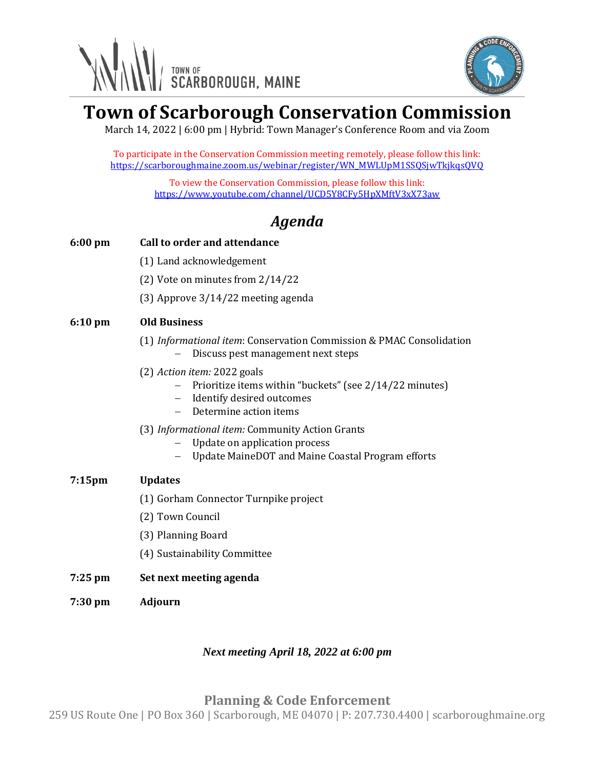



# **Town of Scarborough Conservation Commission**

March 14, 2022 | 6:00 pm | Hybrid: Town Manager's Conference Room and via Zoom

To participate in the Conservation Commission meeting remotely, please follow this link: https://scarboroughmaine.zoom.us/webinar/register/WN\_MWLUpM1SSQSjwTkjkqsQVQ

> To view the Conservation Commission, please follow this link: <https://www.youtube.com/channel/UCD5Y8CFy5HpXMftV3xX73aw>

# *Agenda*

## **6:00 pm Call to order and attendance**

- (1) Land acknowledgement
- (2) Vote on minutes from 2/14/22
- (3) Approve 3/14/22 meeting agenda

### **6:10 pm Old Business**

- (1) *Informational item*: Conservation Commission & PMAC Consolidation − Discuss pest management next steps
- (2) *Action item:* 2022 goals
	- − Prioritize items within "buckets" (see 2/14/22 minutes)
	- − Identify desired outcomes
	- − Determine action items
- (3) *Informational item:* Community Action Grants
	- − Update on application process
	- − Update MaineDOT and Maine Coastal Program efforts

### **7:15pm Updates**

- (1) Gorham Connector Turnpike project
- (2) Town Council
- (3) Planning Board
- (4) Sustainability Committee
- **7:25 pm Set next meeting agenda**
- **7:30 pm Adjourn**

### *Next meeting April 18, 2022 at 6:00 pm*

### **Planning & Code Enforcement**

259 US Route One | PO Box 360 | Scarborough, ME 04070 | P: 207.730.4400 | scarboroughmaine.org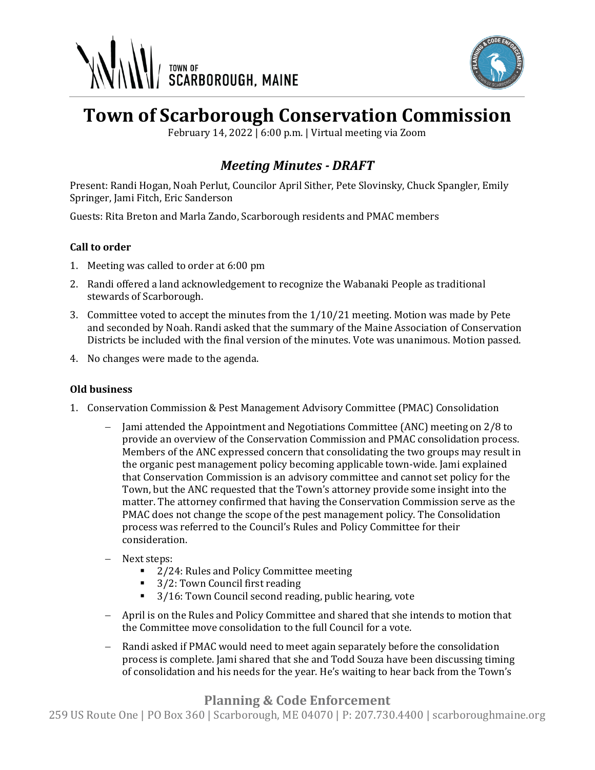



# **Town of Scarborough Conservation Commission**

February 14, 2022 | 6:00 p.m. | Virtual meeting via Zoom

## *Meeting Minutes - DRAFT*

Present: Randi Hogan, Noah Perlut, Councilor April Sither, Pete Slovinsky, Chuck Spangler, Emily Springer, Jami Fitch, Eric Sanderson

Guests: Rita Breton and Marla Zando, Scarborough residents and PMAC members

### **Call to order**

- 1. Meeting was called to order at 6:00 pm
- 2. Randi offered a land acknowledgement to recognize the Wabanaki People as traditional stewards of Scarborough.
- 3. Committee voted to accept the minutes from the 1/10/21 meeting. Motion was made by Pete and seconded by Noah. Randi asked that the summary of the Maine Association of Conservation Districts be included with the final version of the minutes. Vote was unanimous. Motion passed.
- 4. No changes were made to the agenda.

### **Old business**

- 1. Conservation Commission & Pest Management Advisory Committee (PMAC) Consolidation
	- − Jami attended the Appointment and Negotiations Committee (ANC) meeting on 2/8 to provide an overview of the Conservation Commission and PMAC consolidation process. Members of the ANC expressed concern that consolidating the two groups may result in the organic pest management policy becoming applicable town-wide. Jami explained that Conservation Commission is an advisory committee and cannot set policy for the Town, but the ANC requested that the Town's attorney provide some insight into the matter. The attorney confirmed that having the Conservation Commission serve as the PMAC does not change the scope of the pest management policy. The Consolidation process was referred to the Council's Rules and Policy Committee for their consideration.
	- − Next steps:
		- 2/24: Rules and Policy Committee meeting
		- 3/2: Town Council first reading
		- 3/16: Town Council second reading, public hearing, vote
	- − April is on the Rules and Policy Committee and shared that she intends to motion that the Committee move consolidation to the full Council for a vote.
	- Randi asked if PMAC would need to meet again separately before the consolidation process is complete. Jami shared that she and Todd Souza have been discussing timing of consolidation and his needs for the year. He's waiting to hear back from the Town's

### **Planning & Code Enforcement**

259 US Route One | PO Box 360 | Scarborough, ME 04070 | P: 207.730.4400 | scarboroughmaine.org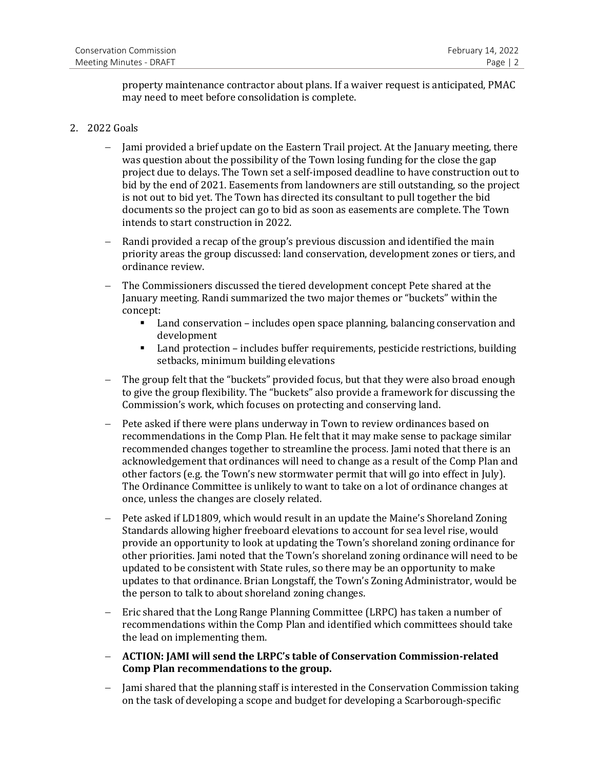property maintenance contractor about plans. If a waiver request is anticipated, PMAC may need to meet before consolidation is complete.

### 2. 2022 Goals

- − Jami provided a brief update on the Eastern Trail project. At the January meeting, there was question about the possibility of the Town losing funding for the close the gap project due to delays. The Town set a self-imposed deadline to have construction out to bid by the end of 2021. Easements from landowners are still outstanding, so the project is not out to bid yet. The Town has directed its consultant to pull together the bid documents so the project can go to bid as soon as easements are complete. The Town intends to start construction in 2022.
- Randi provided a recap of the group's previous discussion and identified the main priority areas the group discussed: land conservation, development zones or tiers, and ordinance review.
- The Commissioners discussed the tiered development concept Pete shared at the January meeting. Randi summarized the two major themes or "buckets" within the concept:
	- Land conservation includes open space planning, balancing conservation and development
	- Land protection includes buffer requirements, pesticide restrictions, building setbacks, minimum building elevations
- The group felt that the "buckets" provided focus, but that they were also broad enough to give the group flexibility. The "buckets" also provide a framework for discussing the Commission's work, which focuses on protecting and conserving land.
- − Pete asked if there were plans underway in Town to review ordinances based on recommendations in the Comp Plan. He felt that it may make sense to package similar recommended changes together to streamline the process. Jami noted that there is an acknowledgement that ordinances will need to change as a result of the Comp Plan and other factors (e.g. the Town's new stormwater permit that will go into effect in July). The Ordinance Committee is unlikely to want to take on a lot of ordinance changes at once, unless the changes are closely related.
- − Pete asked if LD1809, which would result in an update the Maine's Shoreland Zoning Standards allowing higher freeboard elevations to account for sea level rise, would provide an opportunity to look at updating the Town's shoreland zoning ordinance for other priorities. Jami noted that the Town's shoreland zoning ordinance will need to be updated to be consistent with State rules, so there may be an opportunity to make updates to that ordinance. Brian Longstaff, the Town's Zoning Administrator, would be the person to talk to about shoreland zoning changes.
- − Eric shared that the Long Range Planning Committee (LRPC) has taken a number of recommendations within the Comp Plan and identified which committees should take the lead on implementing them.
- − **ACTION: JAMI will send the LRPC's table of Conservation Commission-related Comp Plan recommendations to the group.**
- − Jami shared that the planning staff is interested in the Conservation Commission taking on the task of developing a scope and budget for developing a Scarborough-specific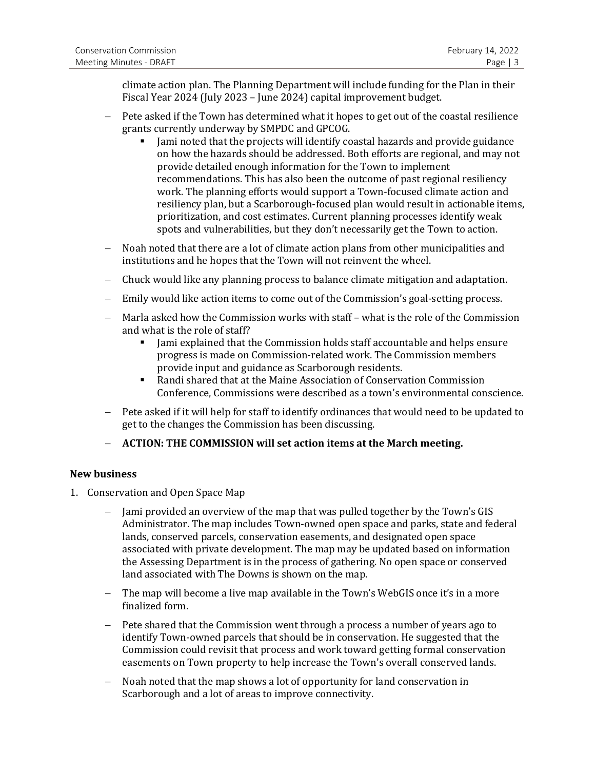climate action plan. The Planning Department will include funding for the Plan in their Fiscal Year 2024 (July 2023 – June 2024) capital improvement budget.

- − Pete asked if the Town has determined what it hopes to get out of the coastal resilience grants currently underway by SMPDC and GPCOG.
	- Jami noted that the projects will identify coastal hazards and provide guidance on how the hazards should be addressed. Both efforts are regional, and may not provide detailed enough information for the Town to implement recommendations. This has also been the outcome of past regional resiliency work. The planning efforts would support a Town-focused climate action and resiliency plan, but a Scarborough-focused plan would result in actionable items, prioritization, and cost estimates. Current planning processes identify weak spots and vulnerabilities, but they don't necessarily get the Town to action.
- − Noah noted that there are a lot of climate action plans from other municipalities and institutions and he hopes that the Town will not reinvent the wheel.
- − Chuck would like any planning process to balance climate mitigation and adaptation.
- − Emily would like action items to come out of the Commission's goal-setting process.
- − Marla asked how the Commission works with staff what is the role of the Commission and what is the role of staff?
	- **•** Jami explained that the Commission holds staff accountable and helps ensure progress is made on Commission-related work. The Commission members provide input and guidance as Scarborough residents.
	- Randi shared that at the Maine Association of Conservation Commission Conference, Commissions were described as a town's environmental conscience.
- − Pete asked if it will help for staff to identify ordinances that would need to be updated to get to the changes the Commission has been discussing.
- − **ACTION: THE COMMISSION will set action items at the March meeting.**

#### **New business**

- 1. Conservation and Open Space Map
	- − Jami provided an overview of the map that was pulled together by the Town's GIS Administrator. The map includes Town-owned open space and parks, state and federal lands, conserved parcels, conservation easements, and designated open space associated with private development. The map may be updated based on information the Assessing Department is in the process of gathering. No open space or conserved land associated with The Downs is shown on the map.
	- − The map will become a live map available in the Town's WebGIS once it's in a more finalized form.
	- − Pete shared that the Commission went through a process a number of years ago to identify Town-owned parcels that should be in conservation. He suggested that the Commission could revisit that process and work toward getting formal conservation easements on Town property to help increase the Town's overall conserved lands.
	- − Noah noted that the map shows a lot of opportunity for land conservation in Scarborough and a lot of areas to improve connectivity.